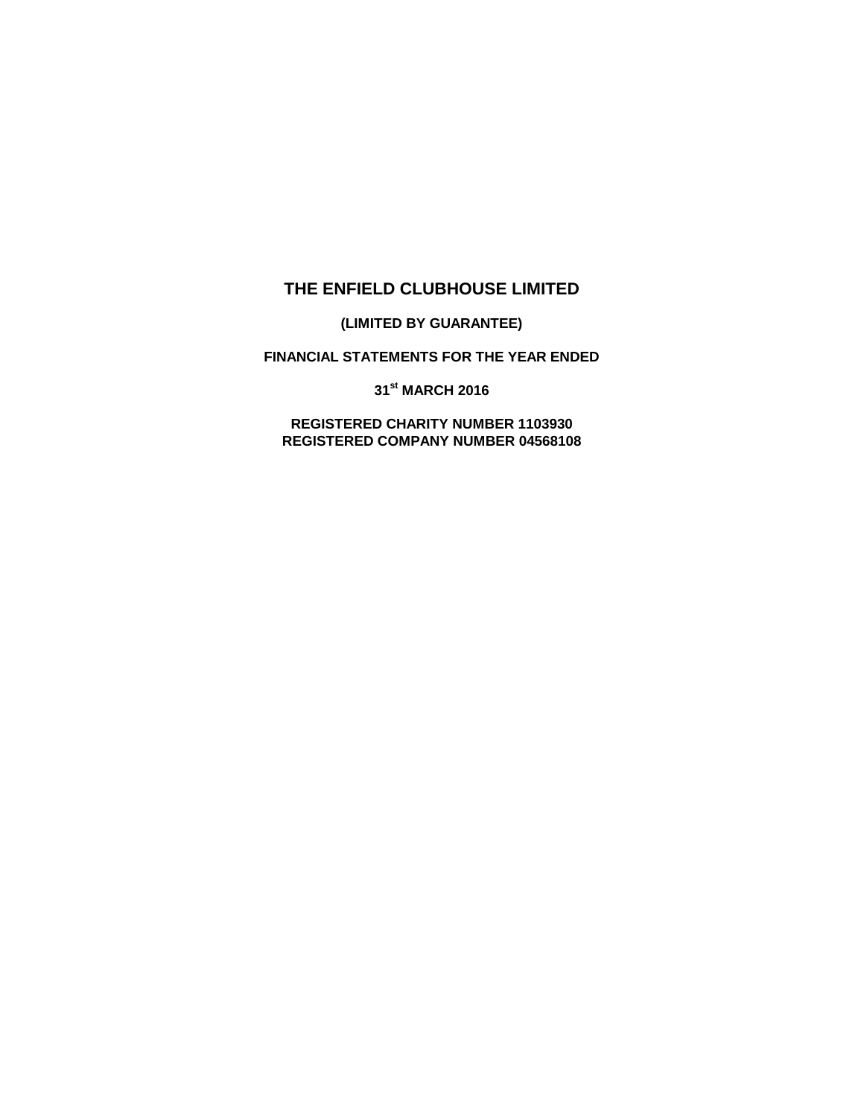# **THE ENFIELD CLUBHOUSE LIMITED**

**(LIMITED BY GUARANTEE)**

**FINANCIAL STATEMENTS FOR THE YEAR ENDED**

**31st MARCH 2016**

**REGISTERED CHARITY NUMBER 1103930 REGISTERED COMPANY NUMBER 04568108**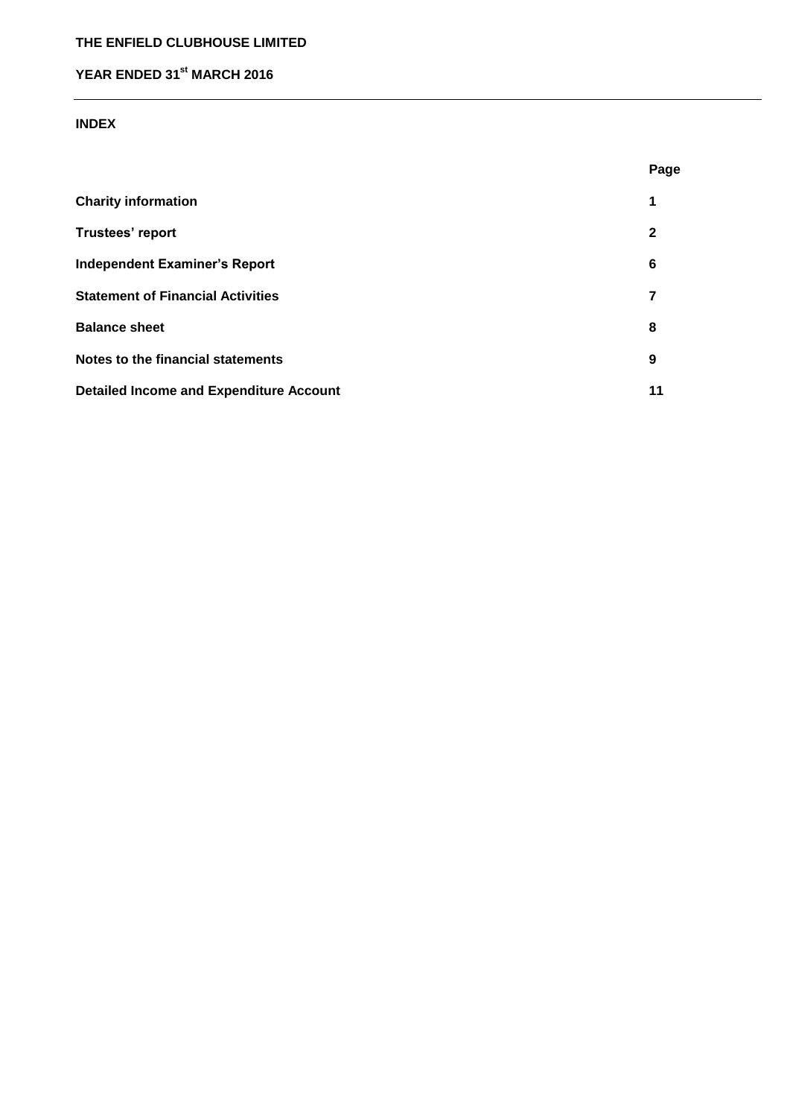# **THE ENFIELD CLUBHOUSE LIMITED**

# **YEAR ENDED 31st MARCH 2016**

## **INDEX**

|                                                | Page         |
|------------------------------------------------|--------------|
| <b>Charity information</b>                     | 1            |
| Trustees' report                               | $\mathbf{2}$ |
| <b>Independent Examiner's Report</b>           | 6            |
| <b>Statement of Financial Activities</b>       | 7            |
| <b>Balance sheet</b>                           | 8            |
| Notes to the financial statements              | 9            |
| <b>Detailed Income and Expenditure Account</b> | 11           |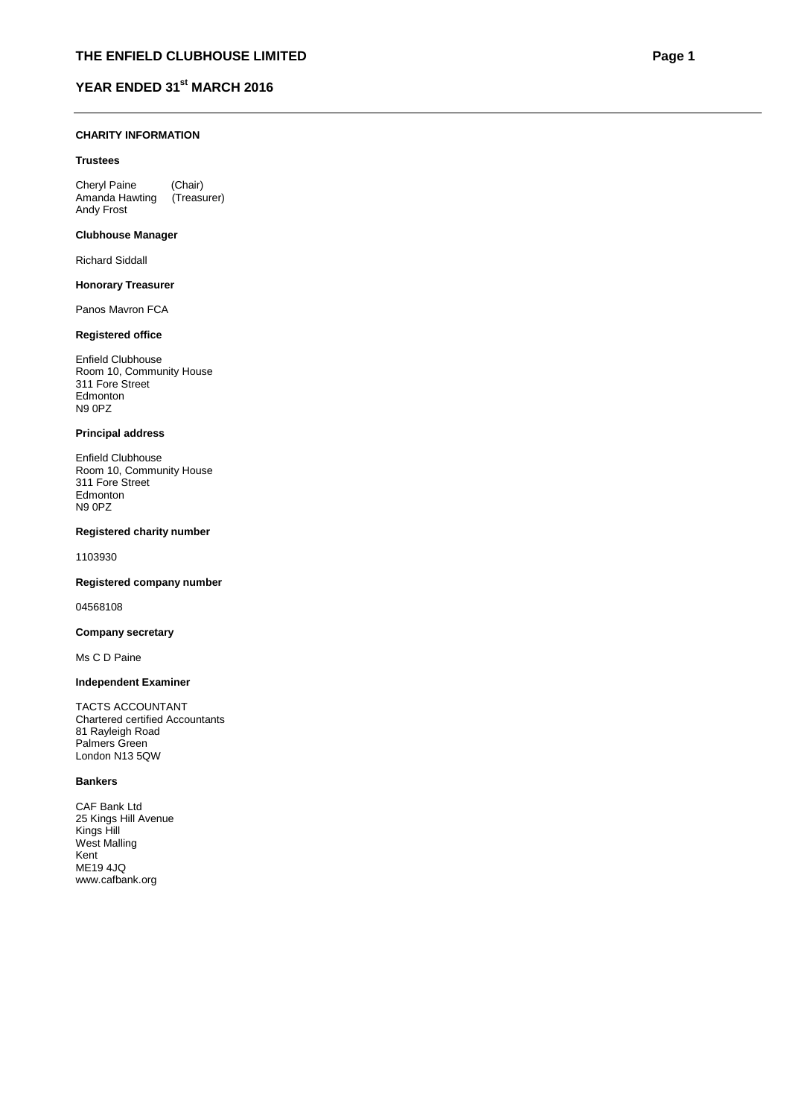#### **CHARITY INFORMATION**

#### **Trustees**

Cheryl Paine (Chair)<br>Amanda Hawting (Treasurer) Amanda Hawting Andy Frost

#### **Clubhouse Manager**

Richard Siddall

#### **Honorary Treasurer**

Panos Mavron FCA

#### **Registered office**

Enfield Clubhouse Room 10, Community House 311 Fore Street Edmonton N9 0PZ

#### **Principal address**

Enfield Clubhouse Room 10, Community House 311 Fore Street Edmonton N9 0PZ

#### **Registered charity number**

1103930

#### **Registered company number**

04568108

#### **Company secretary**

Ms C D Paine

#### **Independent Examiner**

TACTS ACCOUNTANT Chartered certified Accountants 81 Rayleigh Road Palmers Green London N13 5QW

#### **Bankers**

CAF Bank Ltd 25 Kings Hill Avenue Kings Hill West Malling Kent ME19 4JQ www.cafbank.org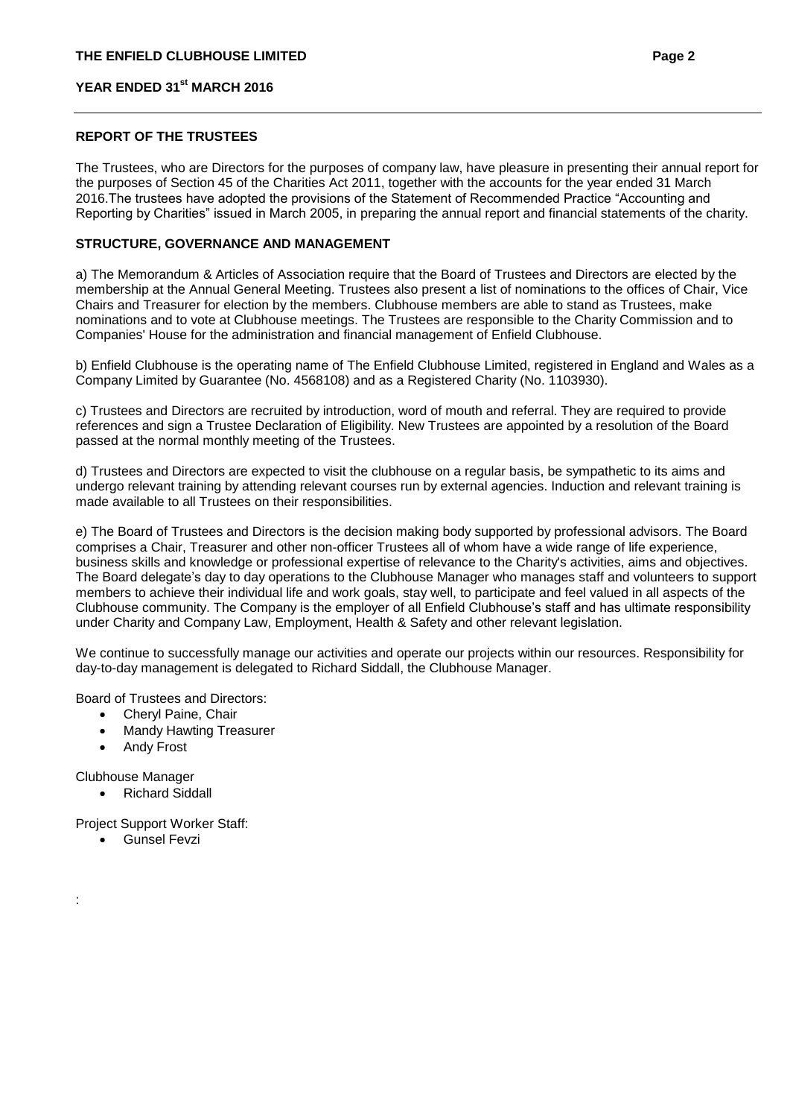#### **REPORT OF THE TRUSTEES**

The Trustees, who are Directors for the purposes of company law, have pleasure in presenting their annual report for the purposes of Section 45 of the Charities Act 2011, together with the accounts for the year ended 31 March 2016.The trustees have adopted the provisions of the Statement of Recommended Practice "Accounting and Reporting by Charities" issued in March 2005, in preparing the annual report and financial statements of the charity.

## **STRUCTURE, GOVERNANCE AND MANAGEMENT**

a) The Memorandum & Articles of Association require that the Board of Trustees and Directors are elected by the membership at the Annual General Meeting. Trustees also present a list of nominations to the offices of Chair, Vice Chairs and Treasurer for election by the members. Clubhouse members are able to stand as Trustees, make nominations and to vote at Clubhouse meetings. The Trustees are responsible to the Charity Commission and to Companies' House for the administration and financial management of Enfield Clubhouse.

b) Enfield Clubhouse is the operating name of The Enfield Clubhouse Limited, registered in England and Wales as a Company Limited by Guarantee (No. 4568108) and as a Registered Charity (No. 1103930).

c) Trustees and Directors are recruited by introduction, word of mouth and referral. They are required to provide references and sign a Trustee Declaration of Eligibility. New Trustees are appointed by a resolution of the Board passed at the normal monthly meeting of the Trustees.

d) Trustees and Directors are expected to visit the clubhouse on a regular basis, be sympathetic to its aims and undergo relevant training by attending relevant courses run by external agencies. Induction and relevant training is made available to all Trustees on their responsibilities.

e) The Board of Trustees and Directors is the decision making body supported by professional advisors. The Board comprises a Chair, Treasurer and other non-officer Trustees all of whom have a wide range of life experience, business skills and knowledge or professional expertise of relevance to the Charity's activities, aims and objectives. The Board delegate's day to day operations to the Clubhouse Manager who manages staff and volunteers to support members to achieve their individual life and work goals, stay well, to participate and feel valued in all aspects of the Clubhouse community. The Company is the employer of all Enfield Clubhouse's staff and has ultimate responsibility under Charity and Company Law, Employment, Health & Safety and other relevant legislation.

We continue to successfully manage our activities and operate our projects within our resources. Responsibility for day-to-day management is delegated to Richard Siddall, the Clubhouse Manager.

Board of Trustees and Directors:

- Cheryl Paine, Chair
- Mandy Hawting Treasurer
- Andy Frost

Clubhouse Manager

:

• Richard Siddall

Project Support Worker Staff:

**•** Gunsel Fevzi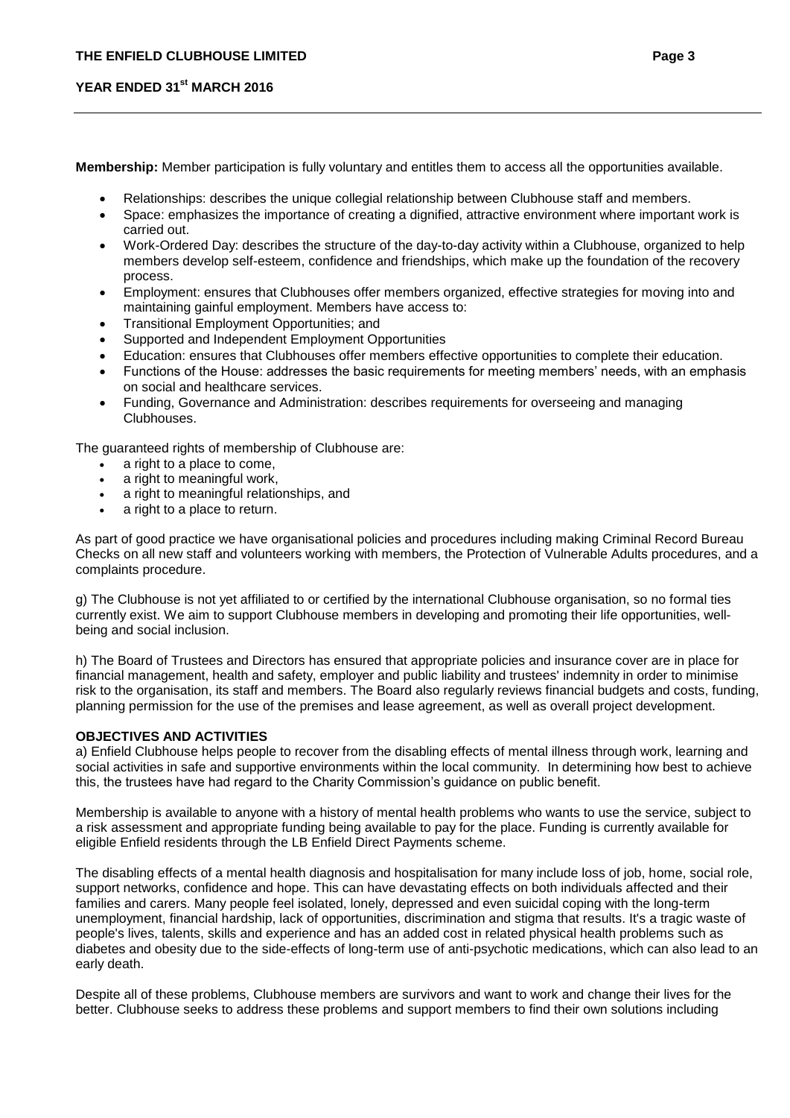**Membership:** Member participation is fully voluntary and entitles them to access all the opportunities available.

- Relationships: describes the unique collegial relationship between Clubhouse staff and members.
- Space: emphasizes the importance of creating a dignified, attractive environment where important work is carried out.
- Work-Ordered Day: describes the structure of the day-to-day activity within a Clubhouse, organized to help members develop self-esteem, confidence and friendships, which make up the foundation of the recovery process.
- Employment: ensures that Clubhouses offer members organized, effective strategies for moving into and maintaining gainful employment. Members have access to:
- **•** Transitional Employment Opportunities: and
- Supported and Independent Employment Opportunities
- Education: ensures that Clubhouses offer members effective opportunities to complete their education.
- Functions of the House: addresses the basic requirements for meeting members' needs, with an emphasis on social and healthcare services.
- Funding, Governance and Administration: describes requirements for overseeing and managing Clubhouses.

The guaranteed rights of membership of Clubhouse are:

- a right to a place to come,
- a right to meaningful work,
- a right to meaningful relationships, and
- a right to a place to return.

As part of good practice we have organisational policies and procedures including making Criminal Record Bureau Checks on all new staff and volunteers working with members, the Protection of Vulnerable Adults procedures, and a complaints procedure.

g) The Clubhouse is not yet affiliated to or certified by the international Clubhouse organisation, so no formal ties currently exist. We aim to support Clubhouse members in developing and promoting their life opportunities, wellbeing and social inclusion.

h) The Board of Trustees and Directors has ensured that appropriate policies and insurance cover are in place for financial management, health and safety, employer and public liability and trustees' indemnity in order to minimise risk to the organisation, its staff and members. The Board also regularly reviews financial budgets and costs, funding, planning permission for the use of the premises and lease agreement, as well as overall project development.

## **OBJECTIVES AND ACTIVITIES**

a) Enfield Clubhouse helps people to recover from the disabling effects of mental illness through work, learning and social activities in safe and supportive environments within the local community. In determining how best to achieve this, the trustees have had regard to the Charity Commission's guidance on public benefit.

Membership is available to anyone with a history of mental health problems who wants to use the service, subject to a risk assessment and appropriate funding being available to pay for the place. Funding is currently available for eligible Enfield residents through the LB Enfield Direct Payments scheme.

The disabling effects of a mental health diagnosis and hospitalisation for many include loss of job, home, social role, support networks, confidence and hope. This can have devastating effects on both individuals affected and their families and carers. Many people feel isolated, lonely, depressed and even suicidal coping with the long-term unemployment, financial hardship, lack of opportunities, discrimination and stigma that results. It's a tragic waste of people's lives, talents, skills and experience and has an added cost in related physical health problems such as diabetes and obesity due to the side-effects of long-term use of anti-psychotic medications, which can also lead to an early death.

Despite all of these problems, Clubhouse members are survivors and want to work and change their lives for the better. Clubhouse seeks to address these problems and support members to find their own solutions including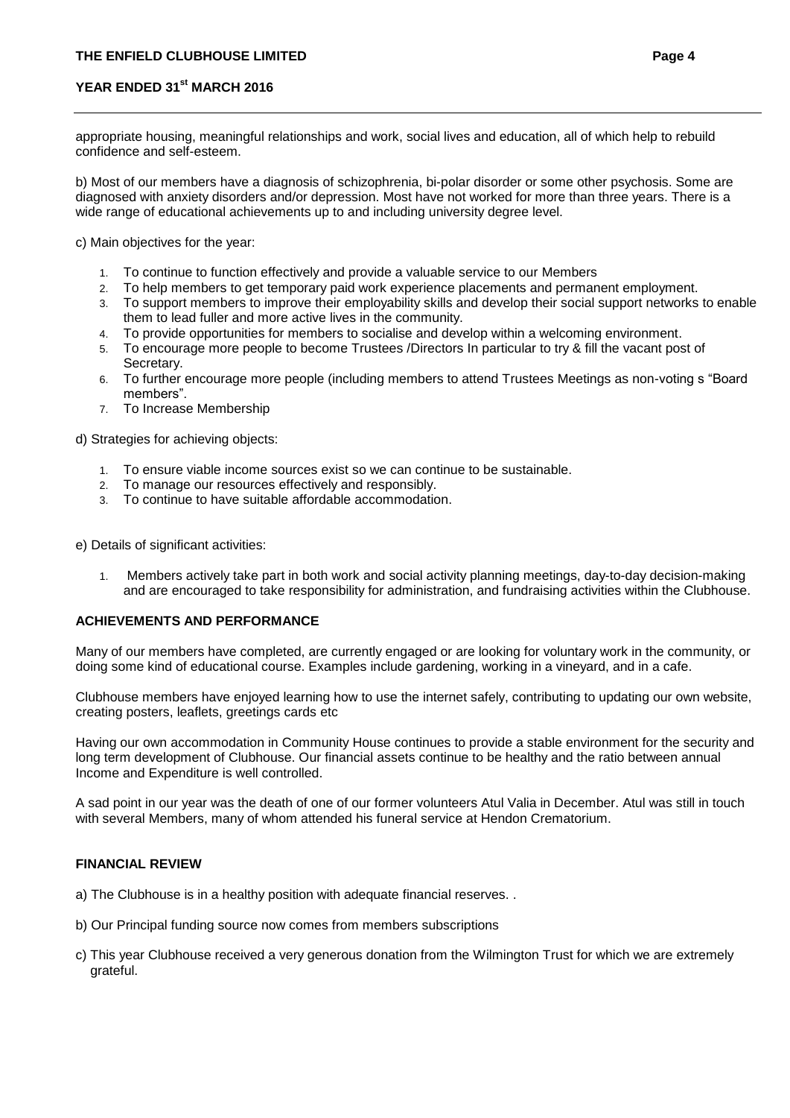appropriate housing, meaningful relationships and work, social lives and education, all of which help to rebuild confidence and self-esteem.

b) Most of our members have a diagnosis of schizophrenia, bi-polar disorder or some other psychosis. Some are diagnosed with anxiety disorders and/or depression. Most have not worked for more than three years. There is a wide range of educational achievements up to and including university degree level.

c) Main objectives for the year:

- 1. To continue to function effectively and provide a valuable service to our Members
- 2. To help members to get temporary paid work experience placements and permanent employment.
- 3. To support members to improve their employability skills and develop their social support networks to enable them to lead fuller and more active lives in the community.
- 4. To provide opportunities for members to socialise and develop within a welcoming environment.
- 5. To encourage more people to become Trustees /Directors In particular to try & fill the vacant post of Secretary.
- 6. To further encourage more people (including members to attend Trustees Meetings as non-voting s "Board members".
- 7. To Increase Membership

d) Strategies for achieving objects:

- 1. To ensure viable income sources exist so we can continue to be sustainable.
- 2. To manage our resources effectively and responsibly.
- 3. To continue to have suitable affordable accommodation.

e) Details of significant activities:

1. Members actively take part in both work and social activity planning meetings, day-to-day decision-making and are encouraged to take responsibility for administration, and fundraising activities within the Clubhouse.

#### **ACHIEVEMENTS AND PERFORMANCE**

Many of our members have completed, are currently engaged or are looking for voluntary work in the community, or doing some kind of educational course. Examples include gardening, working in a vineyard, and in a cafe.

Clubhouse members have enjoyed learning how to use the internet safely, contributing to updating our own website, creating posters, leaflets, greetings cards etc

Having our own accommodation in Community House continues to provide a stable environment for the security and long term development of Clubhouse. Our financial assets continue to be healthy and the ratio between annual Income and Expenditure is well controlled.

A sad point in our year was the death of one of our former volunteers Atul Valia in December. Atul was still in touch with several Members, many of whom attended his funeral service at Hendon Crematorium.

#### **FINANCIAL REVIEW**

a) The Clubhouse is in a healthy position with adequate financial reserves. .

- b) Our Principal funding source now comes from members subscriptions
- c) This year Clubhouse received a very generous donation from the Wilmington Trust for which we are extremely grateful.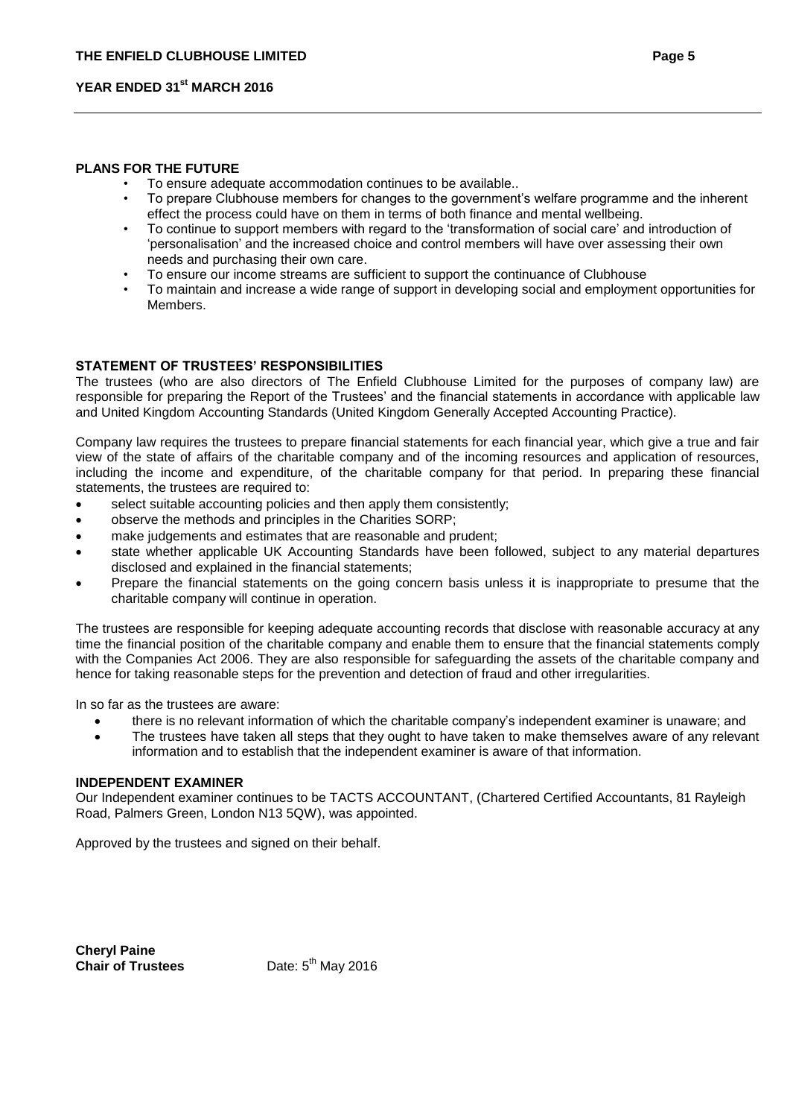#### **PLANS FOR THE FUTURE**

- To ensure adequate accommodation continues to be available..
- To prepare Clubhouse members for changes to the government's welfare programme and the inherent effect the process could have on them in terms of both finance and mental wellbeing.
- To continue to support members with regard to the 'transformation of social care' and introduction of 'personalisation' and the increased choice and control members will have over assessing their own needs and purchasing their own care.
- To ensure our income streams are sufficient to support the continuance of Clubhouse
- To maintain and increase a wide range of support in developing social and employment opportunities for Members.

#### **STATEMENT OF TRUSTEES' RESPONSIBILITIES**

The trustees (who are also directors of The Enfield Clubhouse Limited for the purposes of company law) are responsible for preparing the Report of the Trustees' and the financial statements in accordance with applicable law and United Kingdom Accounting Standards (United Kingdom Generally Accepted Accounting Practice).

Company law requires the trustees to prepare financial statements for each financial year, which give a true and fair view of the state of affairs of the charitable company and of the incoming resources and application of resources, including the income and expenditure, of the charitable company for that period. In preparing these financial statements, the trustees are required to:

- select suitable accounting policies and then apply them consistently;
- observe the methods and principles in the Charities SORP;
- make judgements and estimates that are reasonable and prudent;
- state whether applicable UK Accounting Standards have been followed, subject to any material departures disclosed and explained in the financial statements;
- Prepare the financial statements on the going concern basis unless it is inappropriate to presume that the charitable company will continue in operation.

The trustees are responsible for keeping adequate accounting records that disclose with reasonable accuracy at any time the financial position of the charitable company and enable them to ensure that the financial statements comply with the Companies Act 2006. They are also responsible for safeguarding the assets of the charitable company and hence for taking reasonable steps for the prevention and detection of fraud and other irregularities.

In so far as the trustees are aware:

- there is no relevant information of which the charitable company's independent examiner is unaware; and
- The trustees have taken all steps that they ought to have taken to make themselves aware of any relevant information and to establish that the independent examiner is aware of that information.

#### **INDEPENDENT EXAMINER**

Our Independent examiner continues to be TACTS ACCOUNTANT, (Chartered Certified Accountants, 81 Rayleigh Road, Palmers Green, London N13 5QW), was appointed.

Approved by the trustees and signed on their behalf.

**Cheryl Paine Chair of Trustees** 

Date:  $5^{th}$  May 2016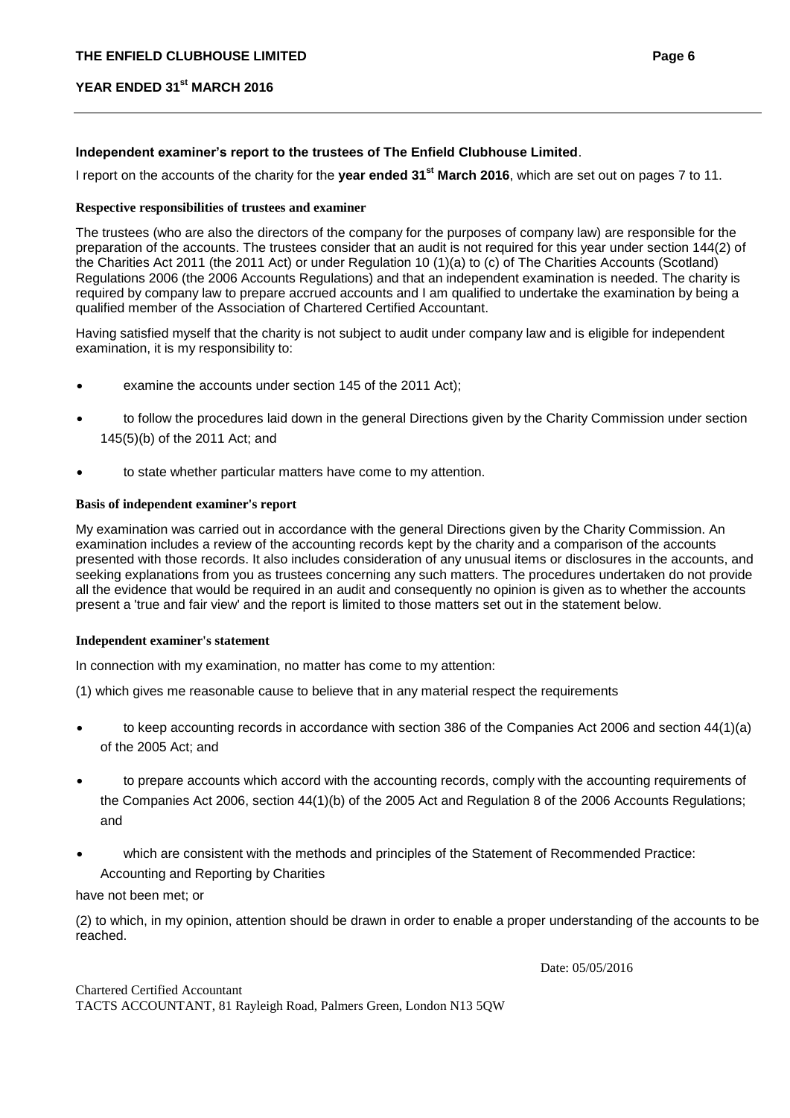## **Independent examiner's report to the trustees of The Enfield Clubhouse Limited**.

I report on the accounts of the charity for the **year ended 31st March 2016**, which are set out on pages 7 to 11.

## **Respective responsibilities of trustees and examiner**

The trustees (who are also the directors of the company for the purposes of company law) are responsible for the preparation of the accounts. The trustees consider that an audit is not required for this year under section 144(2) of the Charities Act 2011 (the 2011 Act) or under Regulation 10 (1)(a) to (c) of The Charities Accounts (Scotland) Regulations 2006 (the 2006 Accounts Regulations) and that an independent examination is needed. The charity is required by company law to prepare accrued accounts and I am qualified to undertake the examination by being a qualified member of the Association of Chartered Certified Accountant.

Having satisfied myself that the charity is not subject to audit under company law and is eligible for independent examination, it is my responsibility to:

- examine the accounts under section 145 of the 2011 Act);
- to follow the procedures laid down in the general Directions given by the Charity Commission under section 145(5)(b) of the 2011 Act; and
- to state whether particular matters have come to my attention.

### **Basis of independent examiner's report**

My examination was carried out in accordance with the general Directions given by the Charity Commission. An examination includes a review of the accounting records kept by the charity and a comparison of the accounts presented with those records. It also includes consideration of any unusual items or disclosures in the accounts, and seeking explanations from you as trustees concerning any such matters. The procedures undertaken do not provide all the evidence that would be required in an audit and consequently no opinion is given as to whether the accounts present a 'true and fair view' and the report is limited to those matters set out in the statement below.

#### **Independent examiner's statement**

In connection with my examination, no matter has come to my attention:

(1) which gives me reasonable cause to believe that in any material respect the requirements

- to keep accounting records in accordance with section 386 of the Companies Act 2006 and section 44(1)(a) of the 2005 Act; and
- to prepare accounts which accord with the accounting records, comply with the accounting requirements of the Companies Act 2006, section 44(1)(b) of the 2005 Act and Regulation 8 of the 2006 Accounts Regulations; and
- which are consistent with the methods and principles of the Statement of Recommended Practice: Accounting and Reporting by Charities

#### have not been met; or

(2) to which, in my opinion, attention should be drawn in order to enable a proper understanding of the accounts to be reached.

Date: 05/05/2016

# Chartered Certified Accountant

TACTS ACCOUNTANT, 81 Rayleigh Road, Palmers Green, London N13 5QW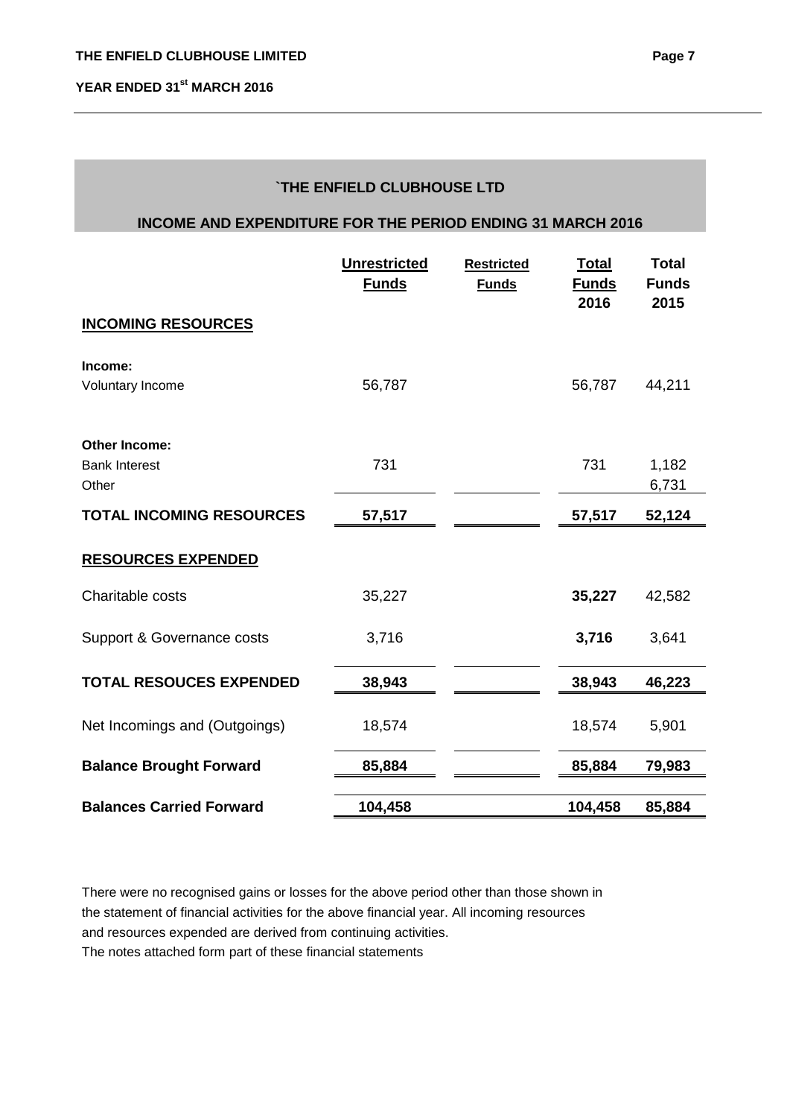# **`THE ENFIELD CLUBHOUSE LTD**

## **INCOME AND EXPENDITURE FOR THE PERIOD ENDING 31 MARCH 2016**

|                                 | <b>Unrestricted</b><br><b>Funds</b> | <b>Restricted</b><br><b>Funds</b> | <b>Total</b><br><b>Funds</b><br>2016 | <b>Total</b><br><b>Funds</b><br>2015 |
|---------------------------------|-------------------------------------|-----------------------------------|--------------------------------------|--------------------------------------|
| <b>INCOMING RESOURCES</b>       |                                     |                                   |                                      |                                      |
| Income:                         |                                     |                                   |                                      |                                      |
| Voluntary Income                | 56,787                              |                                   | 56,787                               | 44,211                               |
| <b>Other Income:</b>            |                                     |                                   |                                      |                                      |
| <b>Bank Interest</b><br>Other   | 731                                 |                                   | 731                                  | 1,182<br>6,731                       |
| <b>TOTAL INCOMING RESOURCES</b> | 57,517                              |                                   | 57,517                               | 52,124                               |
| <b>RESOURCES EXPENDED</b>       |                                     |                                   |                                      |                                      |
| Charitable costs                | 35,227                              |                                   | 35,227                               | 42,582                               |
| Support & Governance costs      | 3,716                               |                                   | 3,716                                | 3,641                                |
| <b>TOTAL RESOUCES EXPENDED</b>  | 38,943                              |                                   | 38,943                               | 46,223                               |
| Net Incomings and (Outgoings)   | 18,574                              |                                   | 18,574                               | 5,901                                |
| <b>Balance Brought Forward</b>  | 85,884                              |                                   | 85,884                               | 79,983                               |
| <b>Balances Carried Forward</b> | 104,458                             |                                   | 104,458                              | 85,884                               |

There were no recognised gains or losses for the above period other than those shown in the statement of financial activities for the above financial year. All incoming resources and resources expended are derived from continuing activities.

The notes attached form part of these financial statements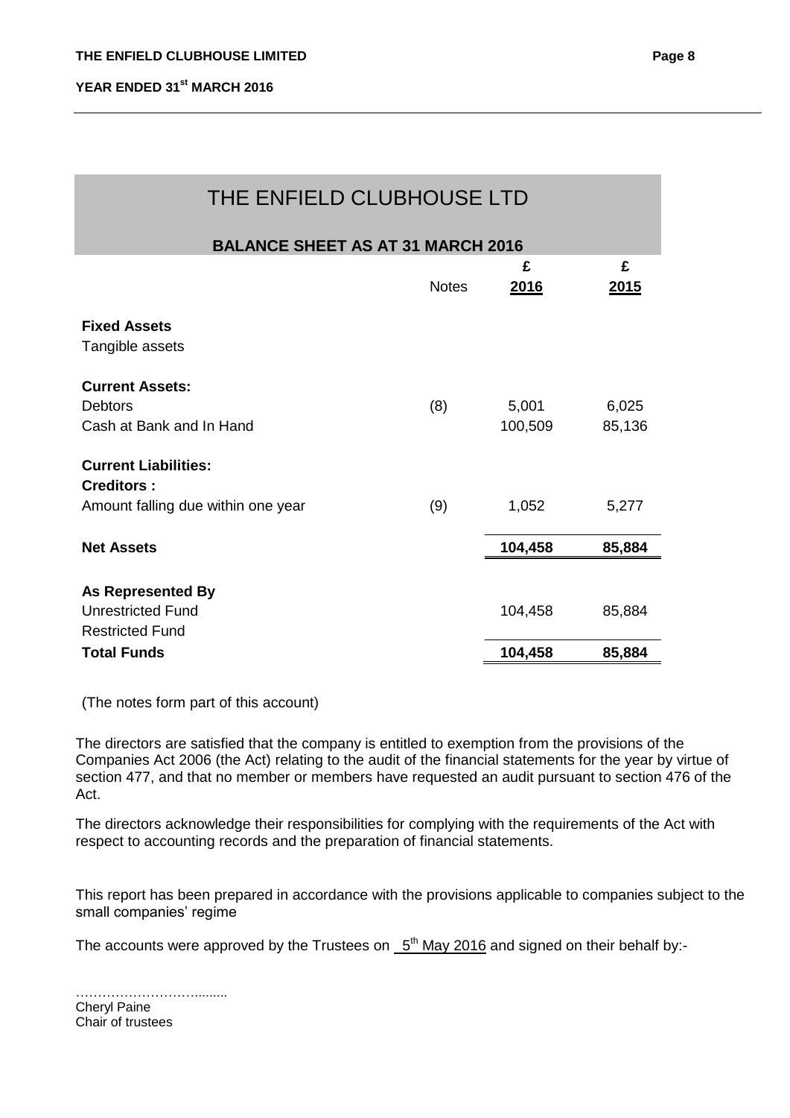| THE ENFIELD CLUBHOUSE LTD                                                              |              |                  |                  |  |
|----------------------------------------------------------------------------------------|--------------|------------------|------------------|--|
| <b>BALANCE SHEET AS AT 31 MARCH 2016</b>                                               |              |                  |                  |  |
|                                                                                        | <b>Notes</b> | £<br>2016        | £<br><u>2015</u> |  |
| <b>Fixed Assets</b><br>Tangible assets                                                 |              |                  |                  |  |
| <b>Current Assets:</b><br><b>Debtors</b><br>Cash at Bank and In Hand                   | (8)          | 5,001<br>100,509 | 6,025<br>85,136  |  |
| <b>Current Liabilities:</b><br><b>Creditors:</b><br>Amount falling due within one year | (9)          | 1,052            | 5,277            |  |
| <b>Net Assets</b>                                                                      |              | 104,458          | 85,884           |  |
| <b>As Represented By</b><br><b>Unrestricted Fund</b><br><b>Restricted Fund</b>         |              | 104,458          | 85,884           |  |
| <b>Total Funds</b>                                                                     |              | 104,458          | 85,884           |  |

(The notes form part of this account)

The directors are satisfied that the company is entitled to exemption from the provisions of the Companies Act 2006 (the Act) relating to the audit of the financial statements for the year by virtue of section 477, and that no member or members have requested an audit pursuant to section 476 of the Act.

The directors acknowledge their responsibilities for complying with the requirements of the Act with respect to accounting records and the preparation of financial statements.

This report has been prepared in accordance with the provisions applicable to companies subject to the small companies' regime

The accounts were approved by the Trustees on  $-5<sup>th</sup>$  May 2016 and signed on their behalf by:-

| <b>Cheryl Paine</b> |
|---------------------|
| Chair of trustees   |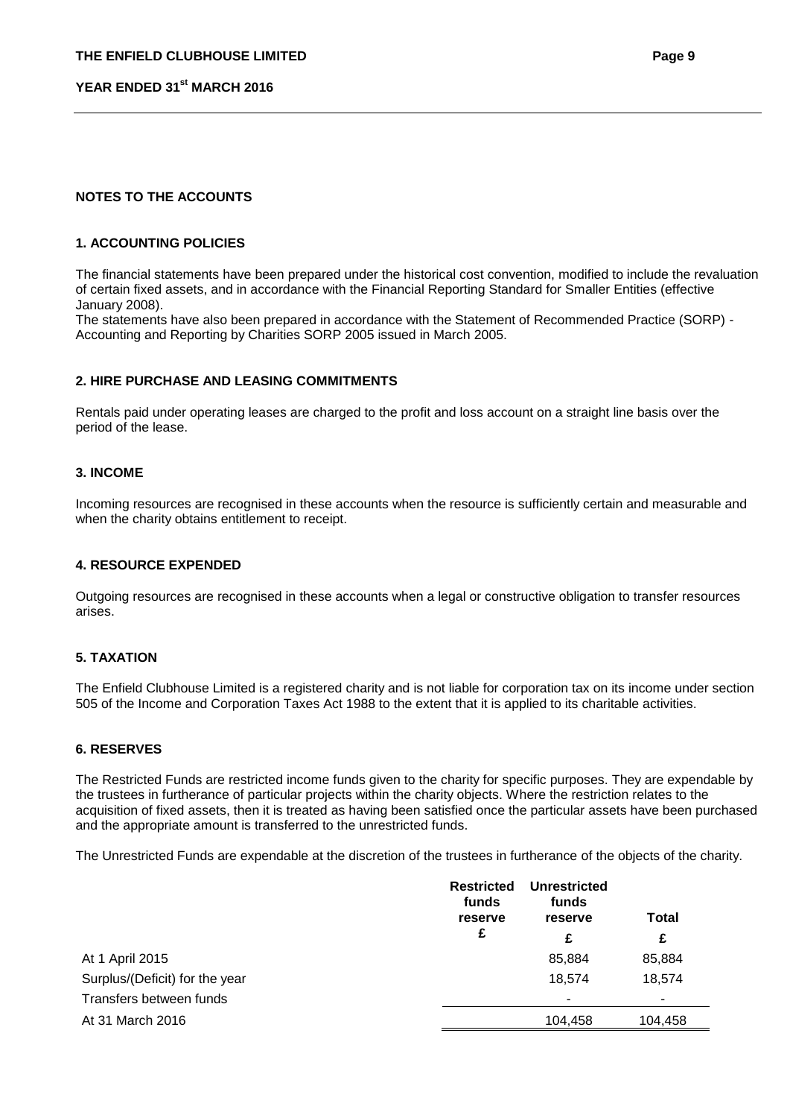## **NOTES TO THE ACCOUNTS**

### **1. ACCOUNTING POLICIES**

The financial statements have been prepared under the historical cost convention, modified to include the revaluation of certain fixed assets, and in accordance with the Financial Reporting Standard for Smaller Entities (effective January 2008).

The statements have also been prepared in accordance with the Statement of Recommended Practice (SORP) - Accounting and Reporting by Charities SORP 2005 issued in March 2005.

### **2. HIRE PURCHASE AND LEASING COMMITMENTS**

Rentals paid under operating leases are charged to the profit and loss account on a straight line basis over the period of the lease.

### **3. INCOME**

Incoming resources are recognised in these accounts when the resource is sufficiently certain and measurable and when the charity obtains entitlement to receipt.

#### **4. RESOURCE EXPENDED**

Outgoing resources are recognised in these accounts when a legal or constructive obligation to transfer resources arises.

#### **5. TAXATION**

The Enfield Clubhouse Limited is a registered charity and is not liable for corporation tax on its income under section 505 of the Income and Corporation Taxes Act 1988 to the extent that it is applied to its charitable activities.

#### **6. RESERVES**

The Restricted Funds are restricted income funds given to the charity for specific purposes. They are expendable by the trustees in furtherance of particular projects within the charity objects. Where the restriction relates to the acquisition of fixed assets, then it is treated as having been satisfied once the particular assets have been purchased and the appropriate amount is transferred to the unrestricted funds.

The Unrestricted Funds are expendable at the discretion of the trustees in furtherance of the objects of the charity.

|                                | <b>Restricted</b><br>funds<br>reserve | Unrestricted<br>funds<br>reserve | <b>Total</b> |  |
|--------------------------------|---------------------------------------|----------------------------------|--------------|--|
|                                | £                                     | £                                | £            |  |
| At 1 April 2015                |                                       | 85,884                           | 85,884       |  |
| Surplus/(Deficit) for the year |                                       | 18,574                           | 18.574       |  |
| Transfers between funds        |                                       | ۰                                | ۰            |  |
| At 31 March 2016               |                                       | 104,458                          | 104,458      |  |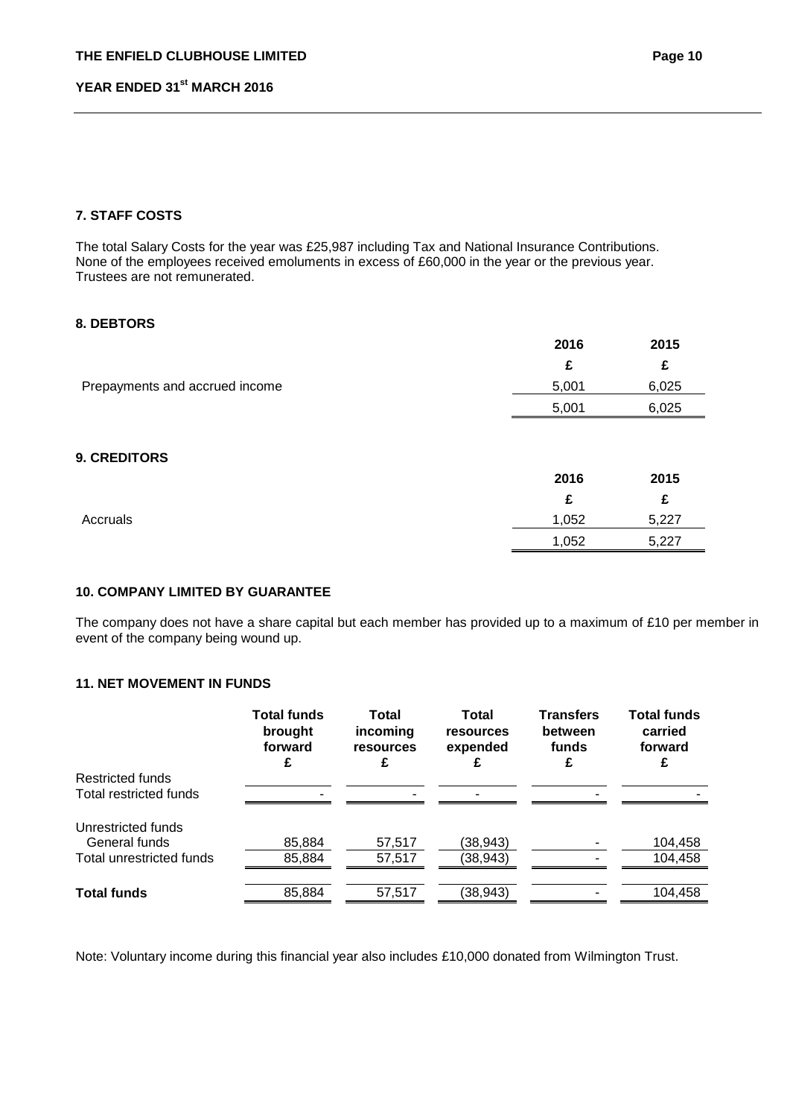# **7. STAFF COSTS**

The total Salary Costs for the year was £25,987 including Tax and National Insurance Contributions. None of the employees received emoluments in excess of £60,000 in the year or the previous year. Trustees are not remunerated.

## **8. DEBTORS**

|                                | 2016  | 2015  |
|--------------------------------|-------|-------|
|                                | £     | £     |
| Prepayments and accrued income | 5,001 | 6,025 |
|                                | 5,001 | 6,025 |
|                                |       |       |

# **9. CREDITORS**

|          | 2016  | 2015  |
|----------|-------|-------|
|          |       | £     |
| Accruals | 1,052 | 5,227 |
|          | 1,052 | 5,227 |
|          |       |       |

# **10. COMPANY LIMITED BY GUARANTEE**

The company does not have a share capital but each member has provided up to a maximum of £10 per member in event of the company being wound up.

# **11. NET MOVEMENT IN FUNDS**

|                                            | <b>Total funds</b><br>brought<br>forward | <b>Total</b><br>incoming<br>resources<br>£ | Total<br>resources<br>expended | <b>Transfers</b><br>between<br>funds<br>£ | <b>Total funds</b><br>carried<br>forward |
|--------------------------------------------|------------------------------------------|--------------------------------------------|--------------------------------|-------------------------------------------|------------------------------------------|
| Restricted funds<br>Total restricted funds |                                          |                                            |                                |                                           |                                          |
| Unrestricted funds                         |                                          |                                            |                                |                                           |                                          |
| General funds<br>Total unrestricted funds  | 85,884<br>85,884                         | 57,517<br>57,517                           | (38,943)<br>(38,943)           |                                           | 104,458<br>104,458                       |
| <b>Total funds</b>                         | 85,884                                   | 57,517                                     | (38, 943)                      |                                           | 104,458                                  |

Note: Voluntary income during this financial year also includes £10,000 donated from Wilmington Trust.